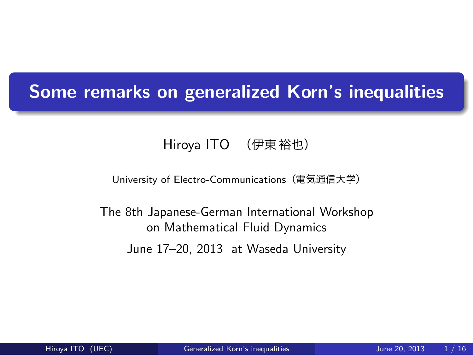# . **Some remarks on generalized Korn's inequalities**

Hiroya ITO (伊東 裕也)

University of Electro-Communications(電気通信大学)

The 8th Japanese-German International Workshop on Mathematical Fluid Dynamics

June 17–20, 2013 at Waseda University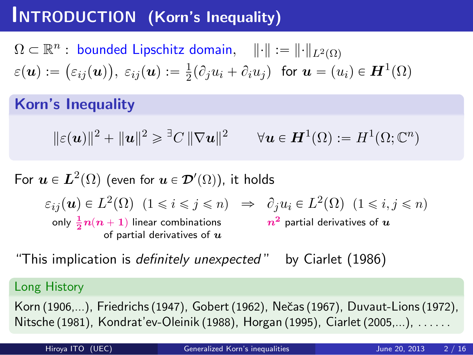## **INTRODUCTION (Korn's Inequality)**

 $\Omega \subset \mathbb{R}^n:$  bounded Lipschitz domain,  $\|\cdot\| := \|\cdot\|_{L^2(\Omega)}$  $\varepsilon(\boldsymbol{u}):=\big(\varepsilon_{ij}(\boldsymbol{u})\big),~\varepsilon_{ij}(\boldsymbol{u}):=\frac{1}{2}$  $\frac{1}{2}(\partial_j u_i + \partial_i u_j)$  for  $u = (u_i) \in H^1(\Omega)$ 

**Korn's Inequality**

$$
\|\varepsilon(\mathbf{u})\|^2 + \|\mathbf{u}\|^2 \geq \mathbb{E}C \|\nabla \mathbf{u}\|^2 \qquad \forall \mathbf{u} \in \mathbf{H}^1(\Omega) := H^1(\Omega; \mathbb{C}^n)
$$

For  $\boldsymbol{u}\in \boldsymbol{L}^2(\Omega)$  (even for  $\boldsymbol{u}\in \boldsymbol{\mathcal{D}}'(\Omega)$ ), it holds

 $\varepsilon_{ij}(\mathbf{u}) \in L^2(\Omega)$   $(1 \leq i \leq j \leq n) \Rightarrow \partial_j u_i \in L^2(\Omega)$   $(1 \leq i, j \leq n)$ only  $\frac{1}{2}n(n+1)$  linear combinations of partial derivatives of *u n***<sup>2</sup>** partial derivatives of *u*

"This implication is *definitely unexpected* " by Ciarlet (1986)

#### Long History

Korn (1906,...), Friedrichs (1947), Gobert (1962), Nečas (1967), Duvaut-Lions (1972), Nitsche (1981), Kondrat'ev-Oleinik (1988), Horgan (1995), Ciarlet (2005,...), ......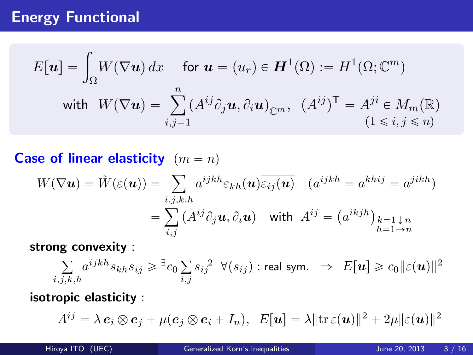# **Energy Functional**

$$
E[\mathbf{u}] = \int_{\Omega} W(\nabla \mathbf{u}) dx \quad \text{for } \mathbf{u} = (u_r) \in \mathbf{H}^1(\Omega) := H^1(\Omega; \mathbb{C}^m)
$$
  
with  $W(\nabla \mathbf{u}) = \sum_{i,j=1}^n (A^{ij} \partial_j \mathbf{u}, \partial_i \mathbf{u})_{\mathbb{C}^m}, (A^{ij})^T = A^{ji} \in M_m(\mathbb{R})$   
 $(1 \le i, j \le n)$ 

**Case of linear elasticity**  $(m = n)$ 

$$
W(\nabla \mathbf{u}) = \tilde{W}(\varepsilon(\mathbf{u})) = \sum_{i,j,k,h} a^{ijkh} \varepsilon_{kh}(\mathbf{u}) \overline{\varepsilon_{ij}(\mathbf{u})} \quad (a^{ijkh} = a^{khij} = a^{jikh})
$$

$$
= \sum_{i,j} (A^{ij} \partial_j \mathbf{u}, \partial_i \mathbf{u}) \quad \text{with} \quad A^{ij} = (a^{ikjh})_{\substack{k=1 \downarrow n \\ h=1 \to n}}
$$

**strong convexity** :

$$
\sum_{i,j,k,h} a^{ijkh} s_{kh} s_{ij} \geq \mathbb{I}_{c_0} \sum_{i,j} s_{ij}^2 \quad \forall (s_{ij}) : \text{real sym.} \quad \Rightarrow \quad E[\mathbf{u}] \geq c_0 \|\varepsilon(\mathbf{u})\|^2
$$

## **isotropic elasticity** :

$$
A^{ij} = \lambda \, \mathbf{e}_i \otimes \mathbf{e}_j + \mu(\mathbf{e}_j \otimes \mathbf{e}_i + I_n), \ \ E[\mathbf{u}] = \lambda \|\mathrm{tr}\,\varepsilon(\mathbf{u})\|^2 + 2\mu \|\varepsilon(\mathbf{u})\|^2
$$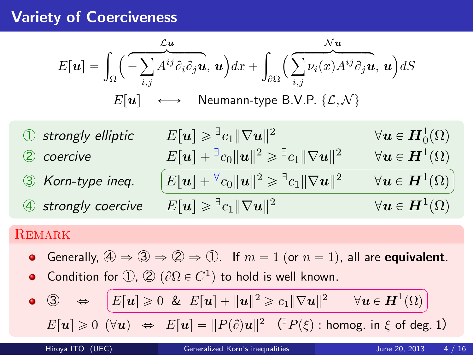# **Variety of Coerciveness**

$$
E[\mathbf{u}] = \int_{\Omega} \left( -\sum_{i,j} A^{ij} \partial_i \partial_j \mathbf{u}, \mathbf{u} \right) dx + \int_{\partial \Omega} \left( \sum_{i,j} \nu_i(x) A^{ij} \partial_j \mathbf{u}, \mathbf{u} \right) dS
$$
  
\n
$$
E[\mathbf{u}] \longleftrightarrow \text{Neumann-type B.V.P. } \{\mathcal{L}, \mathcal{N}\}
$$
  
\n
$$
\text{Orrically elliptic} \qquad E[\mathbf{u}] \geq \exists c_1 ||\nabla \mathbf{u}||^2 \qquad \forall \mathbf{u} \in \mathbf{H}_0^1(\Omega)
$$
  
\n
$$
\text{Corrive} \qquad E[\mathbf{u}] + \exists c_0 ||\mathbf{u}||^2 \geq \exists c_1 ||\nabla \mathbf{u}||^2 \qquad \forall \mathbf{u} \in \mathbf{H}^1(\Omega)
$$
  
\n
$$
\text{Corrly per ineq. } \qquad \boxed{E[\mathbf{u}] + \forall c_0 ||\mathbf{u}||^2 \geq \exists c_1 ||\nabla \mathbf{u}||^2 \qquad \forall \mathbf{u} \in \mathbf{H}^1(\Omega)}
$$
  
\n
$$
\text{Fromely coercive} \qquad E[\mathbf{u}] \geq \exists c_1 ||\nabla \mathbf{u}||^2 \qquad \forall \mathbf{u} \in \mathbf{H}^1(\Omega)
$$
  
\n
$$
\text{REMARK} \qquad \text{Generally, } \text{or} \qquad \exists c_1 c_2 \in \mathbf{H}^1(\Omega)
$$
  
\n
$$
\text{REMARK} \qquad \text{Generally, } \text{or} \qquad \exists c_2 c_1 c_2 \in \mathbf{H}^1(\Omega) \qquad \forall \mathbf{u} \in \mathbf{H}^1(\Omega)
$$
  
\n
$$
\text{Generally, } \text{or} \qquad \exists c_1 c_2 \in \mathbf{H}^1(\Omega) \qquad \forall \mathbf{u} \in \mathbf{H}^1(\Omega)
$$
  
\n
$$
\text{Generally, } \text{or} \qquad \exists c_1 c_2 \in \mathbf{H}^1(\Omega) \qquad \forall \mathbf{u} \in \mathbf{H}^1(\Omega)
$$

• 
$$
\mathbb{G} \Leftrightarrow \boxed{E[\mathbf{u}] \geq 0 \& E[\mathbf{u}] + ||\mathbf{u}||^2 \geq c_1 ||\nabla \mathbf{u}||^2 \quad \forall \mathbf{u} \in \mathbf{H}^1(\Omega)}
$$
  
 $E[\mathbf{u}] \geq 0 \quad (\forall \mathbf{u}) \Leftrightarrow E[\mathbf{u}] = ||P(\partial) \mathbf{u}||^2 \quad (\exists P(\xi) : \text{homog. in } \xi \text{ of deg. 1})$ 

Hiroya ITO (UEC) Generalized Korn's inequalities June 20, 2013 4 / 16

☎ ✆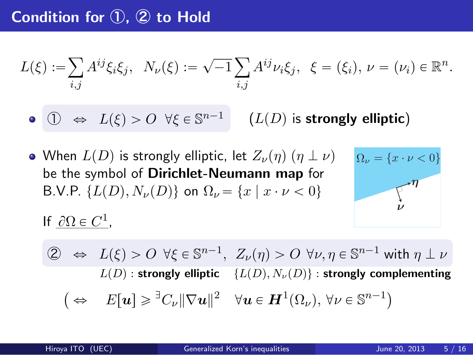# **Condition for ①, ② to Hold**

$$
L(\xi) := \sum_{i,j} A^{ij} \xi_i \xi_j, \ \ N_{\nu}(\xi) := \sqrt{-1} \sum_{i,j} A^{ij} \nu_i \xi_j, \ \ \xi = (\xi_i), \ \nu = (\nu_i) \in \mathbb{R}^n.
$$

- $\bigcirc$   $\Rightarrow$   $L(\xi) > 0$   $\forall \xi \in \mathbb{S}^{n-1}$  $(L(D)$  is **strongly elliptic**)
- When  $L(D)$  is strongly elliptic, let  $Z_{\nu}(\eta)(\eta \perp \nu)$ be the symbol of **Dirichlet-Neumann map** for B.V.P.  $\{L(D), N_{\nu}(D)\}$  on  $\Omega_{\nu} = \{x \mid x \cdot \nu < 0\}$



If  $\partial \Omega \in C^1$ ,

$$
\begin{aligned}\n\textcircled{2} &\iff L(\xi) > O \ \forall \xi \in \mathbb{S}^{n-1}, \ Z_{\nu}(\eta) > O \ \forall \nu, \eta \in \mathbb{S}^{n-1} \text{ with } \eta \perp \nu \\
L(D): \text{strongly elliptic} \ \{L(D), N_{\nu}(D)\} : \text{strongly complementing} \\
&\quad \left(\Leftrightarrow E[\mathbf{u}] \geq \sqrt[3]{C_{\nu}} \|\nabla \mathbf{u}\|^2 \quad \forall \mathbf{u} \in \mathbf{H}^1(\Omega_{\nu}), \ \forall \nu \in \mathbb{S}^{n-1}\right)\n\end{aligned}
$$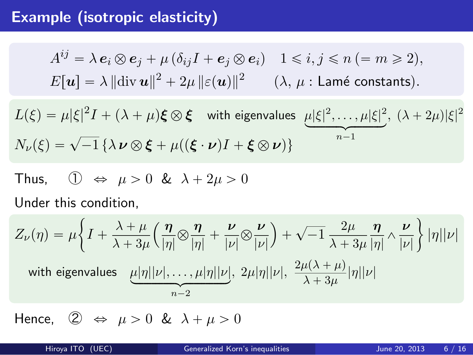# **Example (isotropic elasticity)**

$$
A^{ij} = \lambda e_i \otimes e_j + \mu (\delta_{ij}I + e_j \otimes e_i) \quad 1 \le i, j \le n \ ( = m \ge 2),
$$
  
\n
$$
E[\mathbf{u}] = \lambda ||\text{div } \mathbf{u}||^2 + 2\mu ||\varepsilon(\mathbf{u})||^2 \qquad (\lambda, \mu : \text{Lamé constants}).
$$
  
\n
$$
L(\xi) = \mu |\xi|^2 I + (\lambda + \mu) \xi \otimes \xi \quad \text{with eigenvalues} \quad \mu |\xi|^2, \dots, \mu |\xi|^2, (\lambda + 2\mu) |\xi|^2
$$
  
\n
$$
N_{\nu}(\xi) = \sqrt{-1} \{\lambda \nu \otimes \xi + \mu((\xi \cdot \nu)I + \xi \otimes \nu)\}
$$
  
\nThus,  $\mathbb{O} \Leftrightarrow \mu > 0 \& \lambda + 2\mu > 0$   
\nUnder this condition,  
\n
$$
Z_{\nu}(\eta) = \mu \left\{ I + \frac{\lambda + \mu}{\lambda + 3\mu} \left( \frac{\eta}{|\eta|} \otimes \frac{\eta}{|\eta|} + \frac{\nu}{|\nu|} \otimes \frac{\nu}{|\nu|} \right) + \sqrt{-1} \frac{2\mu}{\lambda + 3\mu} \frac{\eta}{|\eta|} \wedge \frac{\nu}{|\nu|} \right\} |\eta| |\nu| \right\}
$$
  
\nwith eigenvalues  $\mu |\eta| |\nu|, \dots, \mu |\eta| |\nu|, 2\mu |\eta| |\nu|, \frac{2\mu(\lambda + \mu)}{\lambda + 3\mu} |\eta| |\nu|$   
\nHence,  $\mathbb{Q} \Leftrightarrow \mu > 0 \& \lambda + \mu > 0$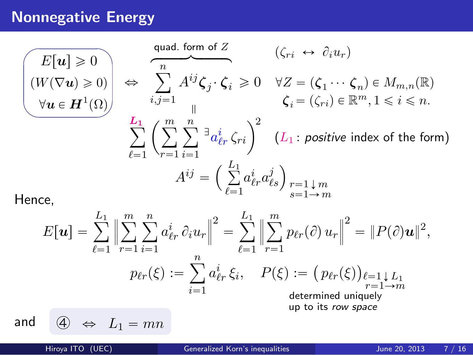# **Nonnegative Energy**

$$
\begin{aligned}\n(E[\mathbf{u}] \geq 0) & \Leftrightarrow \sum_{i,j=1}^{n} A^{ij} \zeta_j \cdot \zeta_i \geq 0 \quad \forall Z = (\zeta_1 \cdots \zeta_n) \in M_{m,n}(\mathbb{R}) \\
\forall \mathbf{u} \in \mathbf{H}^1(\Omega) & \Leftrightarrow \sum_{i,j=1}^{n} A^{ij} \zeta_j \cdot \zeta_i \geq 0 \quad \forall Z = (\zeta_1 \cdots \zeta_n) \in M_{m,n}(\mathbb{R}) \\
\sum_{\ell=1}^{L_1} \left( \sum_{r=1}^{m} \sum_{i=1}^{n} \mathbb{I}_{a_{\ell r}^i}^2 \zeta_{ri} \right)^2 & (L_1: \text{ positive index of the form}) \\
A^{ij} & = \left( \sum_{\ell=1}^{L_1} a_{\ell r}^i a_{\ell s}^j \right)_{r=1 \downarrow m} \\
E[\mathbf{u}] = \sum_{\ell=1}^{L_1} \left\| \sum_{r=1}^{m} \sum_{i=1}^{n} a_{\ell r}^i \partial_i u_r \right\|^2 = \sum_{\ell=1}^{L_1} \left\| \sum_{r=1}^{m} p_{\ell r}(\partial) u_r \right\|^2 = \|P(\partial) \mathbf{u}\|^2, \\
p_{\ell r}(\xi) &:= \sum_{i=1}^{n} a_{\ell r}^i \xi_i, \quad P(\xi) := \left( p_{\ell r}(\xi) \right)_{\ell=1 \downarrow L_1} \\
\text{determined uniquely} \\
\text{and} \quad \text{and} \quad \text{and} \quad \text{and} \quad \text{and} \quad \text{and} \quad \text{and} \quad \text{and} \quad \text{and} \quad \text{and} \quad \text{and} \quad \text{and} \quad \text{and} \quad \text{and} \quad \text{and} \quad \text{and} \quad \text{and} \quad \text{and} \quad \text{and} \quad \text{and} \quad \text{and} \quad \text{and} \quad \text{and} \quad \text{and} \quad \text{and} \quad \text{and} \quad \text{and} \quad \text{and} \quad \text{and} \quad \text{and} \quad \text{and} \quad \text{and} \quad \text{and} \quad \text{and} \quad \text{and} \quad \text{and} \quad \
$$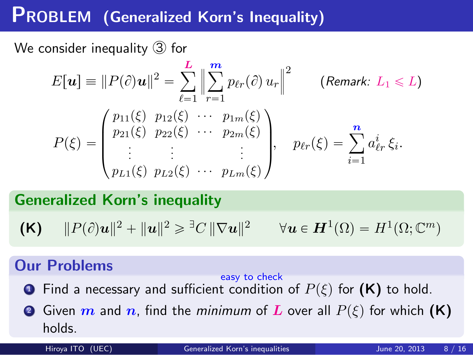# **PROBLEM (Generalized Korn's Inequality)**

We consider inequality ③ for

$$
E[\mathbf{u}] \equiv ||P(\partial)\mathbf{u}||^2 = \sum_{\ell=1}^L \Big\| \sum_{r=1}^m p_{\ell r}(\partial) u_r \Big\|^2 \qquad \text{(Remark: } L_1 \leq L\text{)}
$$
  

$$
P(\xi) = \begin{pmatrix} p_{11}(\xi) & p_{12}(\xi) & \cdots & p_{1m}(\xi) \\ p_{21}(\xi) & p_{22}(\xi) & \cdots & p_{2m}(\xi) \\ \vdots & \vdots & & \vdots \\ p_{L1}(\xi) & p_{L2}(\xi) & \cdots & p_{Lm}(\xi) \end{pmatrix}, \quad p_{\ell r}(\xi) = \sum_{i=1}^n a_{\ell r}^i \xi_i.
$$

**Generalized Korn's inequality**

$$
\textbf{(K)} \qquad \|P(\partial)u\|^2 + \|u\|^2 \geqslant \exists C \|\nabla u\|^2 \qquad \forall u \in H^1(\Omega) = H^1(\Omega; \mathbb{C}^m)
$$

## **Our Problems**

- **1** Find a necessary and easy to check sufficient condition of  $P(\xi)$  for  $(\mathsf{K})$  to hold.
- **2** Given  $m$  and  $n$ , find the *minimum* of  $L$  over all  $P(\xi)$  for which  $(K)$ holds. Hiroya ITO (UEC) Generalized Korn's inequalities June 20, 2013 8 / 16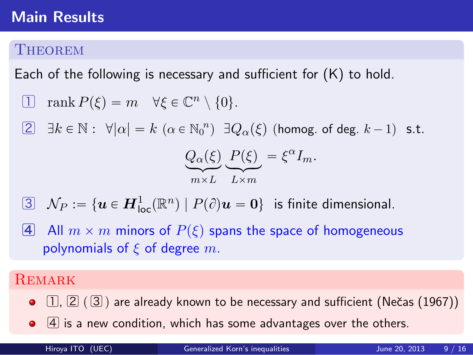### **Main Results**

#### **THEOREM**

Each of the following is necessary and sufficient for  $(K)$  to hold.

- $\Box$  rank  $P(\xi) = m \quad \forall \xi \in \mathbb{C}^n \setminus \{0\}.$
- $[2]$   $\exists k \in \mathbb{N}:$   $\forall |\alpha| = k \ (\alpha \in \mathbb{N}_0^n)$   $\exists Q_{\alpha}(\xi)$  (homog. of deg.  $k-1$ ) s.t.

$$
Q_{\alpha}(\xi) \underbrace{P(\xi)}_{n \times L} = \xi^{\alpha} I_m.
$$

- $\boxed{3}$   $\mathcal{N}_P := \{\bm{u} \in \bm{H}^1_{\mathsf{loc}}(\mathbb{R}^n) \mid P(\partial)\bm{u} = \bm{0}\}$  is finite dimensional.
- **4** All  $m \times m$  minors of  $P(\xi)$  spans the space of homogeneous polynomials of *ξ* of degree *m*.

#### **REMARK**

- $\bullet$   $\Box$ ,  $\Box$   $(\Box)$  are already known to be necessary and sufficient (Nečas (1967))
- $\bullet$   $\overline{4}$  is a new condition, which has some advantages over the others.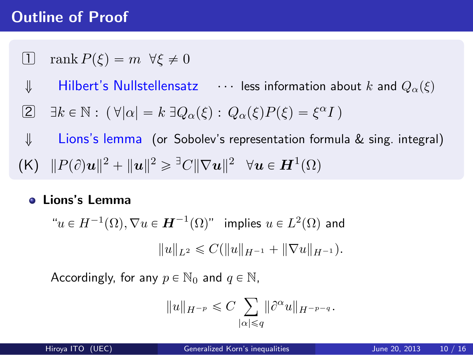## **Outline of Proof**

- 1 rank  $P(\xi) = m \ \forall \xi \neq 0$
- $\downarrow$  **Hilbert's Nullstellensatz**  $\cdots$  less information about *k* and  $Q_{\alpha}(\xi)$
- $2 \exists k \in \mathbb{N} : (\forall |\alpha| = k \exists Q_{\alpha}(\xi) : Q_{\alpha}(\xi)P(\xi) = \xi^{\alpha}I$
- ó Lions's lemma (or Sobolev's representation formula & sing. integral)
- $(K)$   $||P(\partial)u||^2 + ||u||^2 \geq ||\nabla u||^2 \quad \forall u \in H^1(\Omega)$

#### **Lions's Lemma**

 $\forall u \in H^{-1}(\Omega), \nabla u \in H^{-1}(\Omega)$ " implies  $u \in L^2(\Omega)$  and  $||u||_{L^2} \leq C(||u||_{H^{-1}} + ||\nabla u||_{H^{-1}}).$ 

Accordingly, for any  $p \in \mathbb{N}_0$  and  $q \in \mathbb{N}$ ,

$$
||u||_{H^{-p}} \leqslant C \sum_{|\alpha| \leqslant q} ||\partial^\alpha u||_{H^{-p-q}}.
$$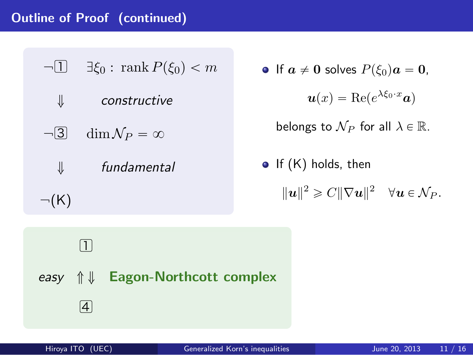## **Outline of Proof (continued)**

| $\neg$ [1] $\exists \xi_0 : \text{rank } P(\xi_0) < m$                                                                       | • If $a \neq 0$ solves $P(\xi_0)a = 0$ ,                               |
|------------------------------------------------------------------------------------------------------------------------------|------------------------------------------------------------------------|
| ⇓<br>constructive                                                                                                            | $u(x) = \text{Re}(e^{\lambda \xi_0 \cdot x} a)$                        |
| $\dim \mathcal{N}_P = \infty$<br>$\neg 3$                                                                                    | belongs to $\mathcal{N}_P$ for all $\lambda \in \mathbb{R}$ .          |
| fundamental<br>⇓                                                                                                             | • If $(K)$ holds, then                                                 |
| $\neg(K)$                                                                                                                    | $  u  ^2 \geqslant C  \nabla u  ^2 \quad \forall u \in \mathcal{N}_P.$ |
| $\left( \mathrm{T}\right)$<br><b>Eagon-Northcott complex</b><br>easy $\mathcal{L} \downarrow$<br>$\left[\overline{4}\right]$ |                                                                        |
| Hiroya ITO (UEC)                                                                                                             | Generalized Korn's inequalities<br>June 20, 2013<br>11 / 16            |

\n- \n
$$
f \mathbf{a} \neq \mathbf{0}
$$
\n solves\n  $P(\xi_0) \mathbf{a} = \mathbf{0},$ \n $\mathbf{u}(x) = \text{Re}(e^{\lambda \xi_0 \cdot x} \mathbf{a})$ \n belongs to\n  $\mathcal{N}_P$  for all\n  $\lambda \in \mathbb{R}.$ \n
\n- \n $|f(K)|$ \n holds, then\n  $\|\mathbf{u}\|^2 \geq C \|\nabla \mathbf{u}\|^2 \quad \forall \mathbf{u} \in \mathcal{N}_P.$ \n
\n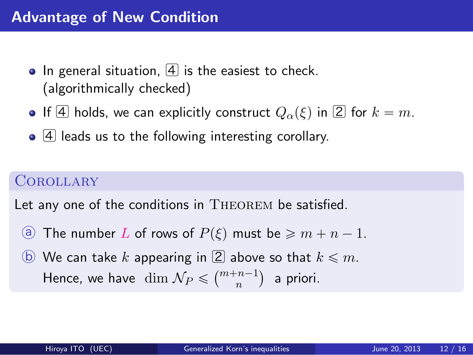## **Advantage of New Condition**

- $\bullet$  In general situation,  $\boxed{4}$  is the easiest to check. (algorithmically checked)
- **•** If  $\overline{4}$  holds, we can explicitly construct  $Q_{\alpha}(\xi)$  in  $\overline{2}$  for  $k = m$ .
- 4 leads us to the following interesting corollary.

#### **COROLLARY**

Let any one of the conditions in THEOREM be satisfied.

- **a** The number *L* of rows of  $P(\xi)$  must be  $\ge m + n 1$ .
- $\Theta$  We can take *k* appearing in  $\Omega$  above so that  $k \leq m$ . Hence, we have  $\dim \mathcal{N}_P \leqslant \binom{m+n-1}{n}$  a priori.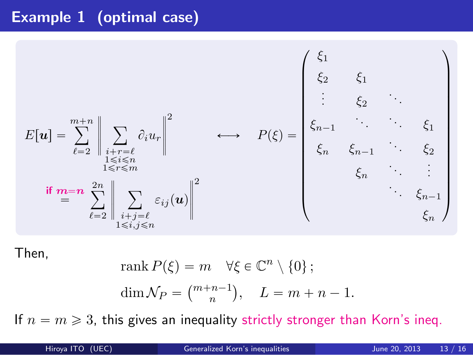# **Example 1 (optimal case)**

$$
E[\mathbf{u}] = \sum_{\ell=2}^{m+n} \left\| \sum_{\substack{i+r=\ell \ 1 \leq i \leq n \\ 1 \leq r \leq m}} \partial_i u_r \right\|^2 \qquad \longleftrightarrow \qquad P(\xi) = \begin{pmatrix} \xi_1 & & & \\ \xi_2 & \xi_1 & & \\ \vdots & \vdots & \ddots & \\ \xi_n & \xi_{n-1} & \xi_2 & \\ \xi_n & \xi_{n-1} & \xi_2 & \\ \vdots & \vdots & \ddots & \\ \xi_n & \xi_{n-1} & \xi_n & \\ \vdots & \vdots & \vdots & \\ \xi_n & \xi_{n-1} & \\ \xi_n & \xi_{n-1} & \\ \vdots & \vdots & \vdots & \\ \xi_n & \xi_{n-1} & \\ \xi_n & \xi_n & \\ \end{pmatrix}
$$

Then,

rank 
$$
P(\xi) = m \quad \forall \xi \in \mathbb{C}^n \setminus \{0\};
$$
  
\n $\dim \mathcal{N}_P = \binom{m+n-1}{n}, \quad L = m+n-1.$ 

If  $n = m \geqslant 3$ , this gives an inequality strictly stronger than Korn's ineq.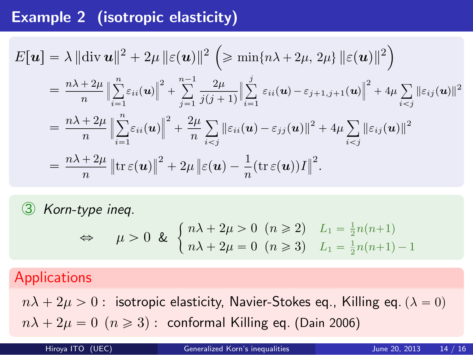## **Example 2 (isotropic elasticity)**

$$
E[\boldsymbol{u}] = \lambda ||\text{div } \boldsymbol{u}||^2 + 2\mu ||\varepsilon(\boldsymbol{u})||^2 \left( \ge \min\{n\lambda + 2\mu, 2\mu\} ||\varepsilon(\boldsymbol{u})||^2 \right)
$$
  
\n
$$
= \frac{n\lambda + 2\mu}{n} \Big\| \sum_{i=1}^n \varepsilon_{ii}(\boldsymbol{u}) \Big\|^2 + \sum_{j=1}^{n-1} \frac{2\mu}{j(j+1)} \Big\| \sum_{i=1}^j \varepsilon_{ii}(\boldsymbol{u}) - \varepsilon_{j+1,j+1}(\boldsymbol{u}) \Big\|^2 + 4\mu \sum_{i < j} \|\varepsilon_{ij}(\boldsymbol{u})\|^2
$$
  
\n
$$
= \frac{n\lambda + 2\mu}{n} \Big\| \sum_{i=1}^n \varepsilon_{ii}(\boldsymbol{u}) \Big\|^2 + \frac{2\mu}{n} \sum_{i < j} \|\varepsilon_{ii}(\boldsymbol{u}) - \varepsilon_{jj}(\boldsymbol{u})\|^2 + 4\mu \sum_{i < j} \|\varepsilon_{ij}(\boldsymbol{u})\|^2
$$
  
\n
$$
= \frac{n\lambda + 2\mu}{n} \left\| \text{tr } \varepsilon(\boldsymbol{u}) \right\|^2 + 2\mu \left\| \varepsilon(\boldsymbol{u}) - \frac{1}{n} (\text{tr } \varepsilon(\boldsymbol{u})) I \right\|^2.
$$

③ *Korn-type ineq.*

 $\Leftrightarrow$   $\mu > 0 \& \begin{cases} n\lambda + 2\mu > 0 \ (n \geq 2) & L_1 = \frac{1}{2}n(n+1) \\ n \lambda + 2n & 0 \ (n \geq 2) & L_1 = \frac{1}{2}n(n+1) \end{cases}$  $n\lambda + 2\mu = 0 \quad (n \geq 3) \quad L_1 = \frac{1}{2}n(n+1) - 1$ 

## Applications

 $n\lambda + 2\mu > 0$  : isotropic elasticity, Navier-Stokes eq., Killing eq.  $(\lambda = 0)$  $n\lambda + 2\mu = 0$  ( $n \ge 3$ ): conformal Killing eq. (Dain 2006)

| Hiroya ITO (UEC) | <b>Generalized Korn's inequalities</b> | 14/16<br>June 20, 2013 |
|------------------|----------------------------------------|------------------------|
|------------------|----------------------------------------|------------------------|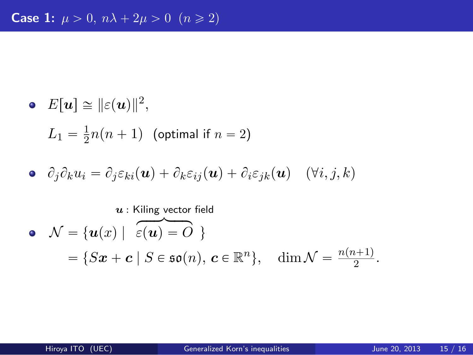## **Case 1:**  $\mu > 0$ ,  $n\lambda + 2\mu > 0$   $(n \ge 2)$

- $E[\boldsymbol{u}] \cong ||\varepsilon(\boldsymbol{u})||^2,$  $L_1 = \frac{1}{2}$  $\frac{1}{2}n(n+1)$  (optimal if  $n = 2$ )
- $\partial_j \partial_k u_i = \partial_j \varepsilon_{ki}(\boldsymbol{u}) + \partial_k \varepsilon_{ij}(\boldsymbol{u}) + \partial_i \varepsilon_{jk}(\boldsymbol{u})$  ( $\forall i, j, k$ )

*u* : Kiling vector field

• 
$$
\mathcal{N} = {\boldsymbol{u}(x) | \widehat{\varepsilon(\boldsymbol{u}) = O}}
$$
  
=  $\{S\boldsymbol{x} + \boldsymbol{c} | S \in \mathfrak{so}(n), \boldsymbol{c} \in \mathbb{R}^n \}, \dim \mathcal{N} = \frac{n(n+1)}{2}$ .